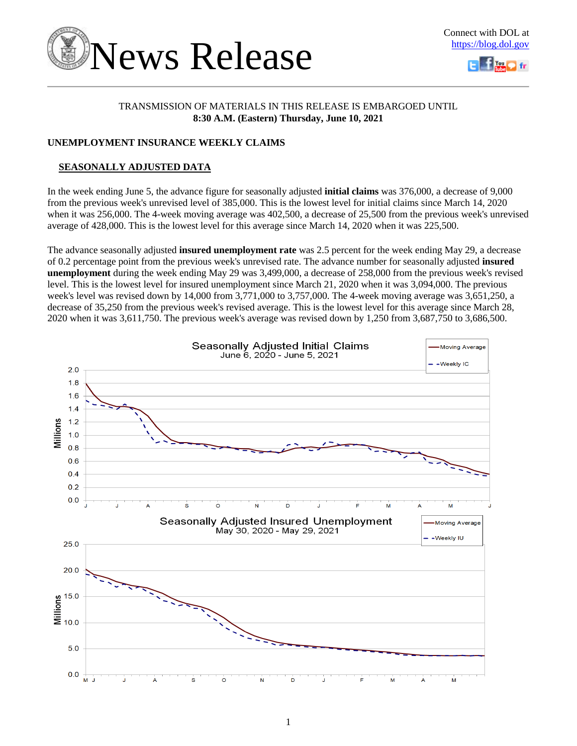

### TRANSMISSION OF MATERIALS IN THIS RELEASE IS EMBARGOED UNTIL **8:30 A.M. (Eastern) Thursday, June 10, 2021**

### **UNEMPLOYMENT INSURANCE WEEKLY CLAIMS**

### **SEASONALLY ADJUSTED DATA**

In the week ending June 5, the advance figure for seasonally adjusted **initial claims** was 376,000, a decrease of 9,000 from the previous week's unrevised level of 385,000. This is the lowest level for initial claims since March 14, 2020 when it was 256,000. The 4-week moving average was 402,500, a decrease of 25,500 from the previous week's unrevised average of 428,000. This is the lowest level for this average since March 14, 2020 when it was 225,500.

The advance seasonally adjusted **insured unemployment rate** was 2.5 percent for the week ending May 29, a decrease of 0.2 percentage point from the previous week's unrevised rate. The advance number for seasonally adjusted **insured unemployment** during the week ending May 29 was 3,499,000, a decrease of 258,000 from the previous week's revised level. This is the lowest level for insured unemployment since March 21, 2020 when it was 3,094,000. The previous week's level was revised down by 14,000 from 3,771,000 to 3,757,000. The 4-week moving average was 3,651,250, a decrease of 35,250 from the previous week's revised average. This is the lowest level for this average since March 28, 2020 when it was 3,611,750. The previous week's average was revised down by 1,250 from 3,687,750 to 3,686,500.

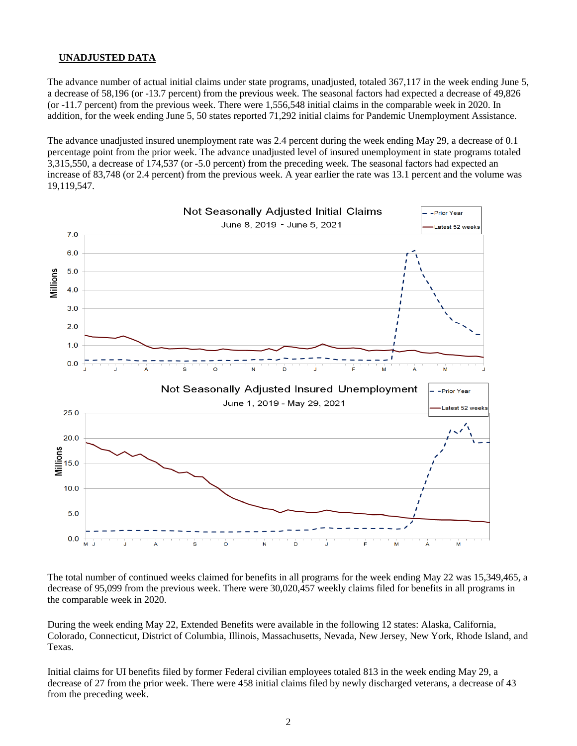### **UNADJUSTED DATA**

The advance number of actual initial claims under state programs, unadjusted, totaled 367,117 in the week ending June 5, a decrease of 58,196 (or -13.7 percent) from the previous week. The seasonal factors had expected a decrease of 49,826 (or -11.7 percent) from the previous week. There were 1,556,548 initial claims in the comparable week in 2020. In addition, for the week ending June 5, 50 states reported 71,292 initial claims for Pandemic Unemployment Assistance.

The advance unadjusted insured unemployment rate was 2.4 percent during the week ending May 29, a decrease of 0.1 percentage point from the prior week. The advance unadjusted level of insured unemployment in state programs totaled 3,315,550, a decrease of 174,537 (or -5.0 percent) from the preceding week. The seasonal factors had expected an increase of 83,748 (or 2.4 percent) from the previous week. A year earlier the rate was 13.1 percent and the volume was 19,119,547.



The total number of continued weeks claimed for benefits in all programs for the week ending May 22 was 15,349,465, a decrease of 95,099 from the previous week. There were 30,020,457 weekly claims filed for benefits in all programs in the comparable week in 2020.

During the week ending May 22, Extended Benefits were available in the following 12 states: Alaska, California, Colorado, Connecticut, District of Columbia, Illinois, Massachusetts, Nevada, New Jersey, New York, Rhode Island, and Texas.

Initial claims for UI benefits filed by former Federal civilian employees totaled 813 in the week ending May 29, a decrease of 27 from the prior week. There were 458 initial claims filed by newly discharged veterans, a decrease of 43 from the preceding week.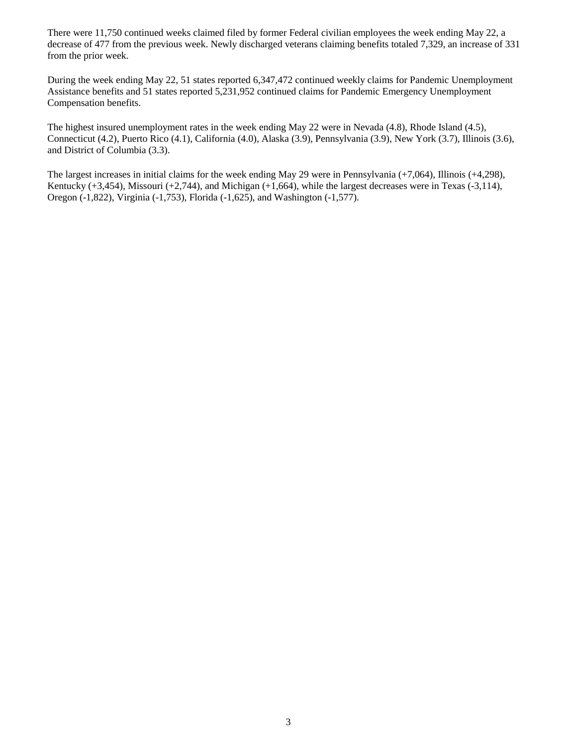There were 11,750 continued weeks claimed filed by former Federal civilian employees the week ending May 22, a decrease of 477 from the previous week. Newly discharged veterans claiming benefits totaled 7,329, an increase of 331 from the prior week.

During the week ending May 22, 51 states reported 6,347,472 continued weekly claims for Pandemic Unemployment Assistance benefits and 51 states reported 5,231,952 continued claims for Pandemic Emergency Unemployment Compensation benefits.

The highest insured unemployment rates in the week ending May 22 were in Nevada (4.8), Rhode Island (4.5), Connecticut (4.2), Puerto Rico (4.1), California (4.0), Alaska (3.9), Pennsylvania (3.9), New York (3.7), Illinois (3.6), and District of Columbia (3.3).

The largest increases in initial claims for the week ending May 29 were in Pennsylvania (+7,064), Illinois (+4,298), Kentucky (+3,454), Missouri (+2,744), and Michigan (+1,664), while the largest decreases were in Texas (-3,114), Oregon (-1,822), Virginia (-1,753), Florida (-1,625), and Washington (-1,577).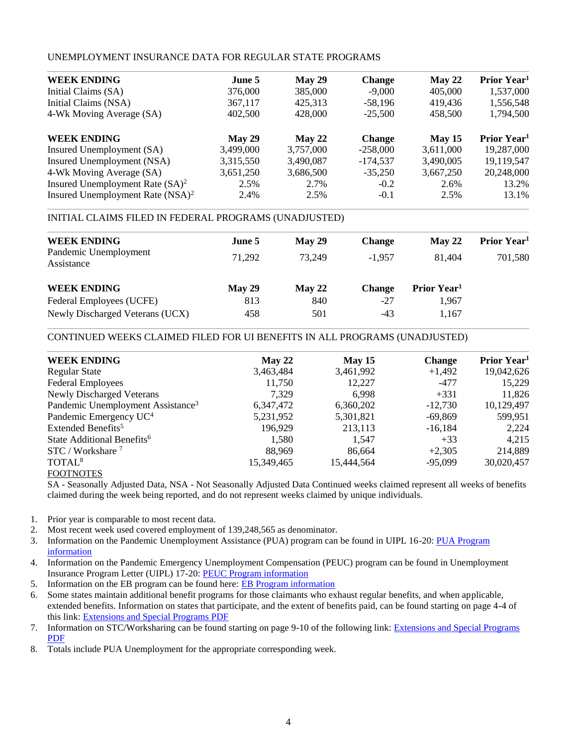### UNEMPLOYMENT INSURANCE DATA FOR REGULAR STATE PROGRAMS

| June 5    | May 29    | <b>Change</b> | May 22    | Prior Year <sup>1</sup> |
|-----------|-----------|---------------|-----------|-------------------------|
| 376,000   | 385,000   | $-9,000$      | 405,000   | 1,537,000               |
| 367,117   | 425,313   | $-58,196$     | 419,436   | 1,556,548               |
| 402,500   | 428,000   | $-25,500$     | 458,500   | 1,794,500               |
| May 29    | May 22    | <b>Change</b> | May 15    | Prior Year <sup>1</sup> |
| 3,499,000 | 3,757,000 | $-258,000$    | 3,611,000 | 19,287,000              |
| 3,315,550 | 3,490,087 | $-174,537$    | 3,490,005 | 19,119,547              |
| 3,651,250 | 3,686,500 | $-35,250$     | 3,667,250 | 20,248,000              |
| 2.5%      | 2.7%      | $-0.2$        | 2.6%      | 13.2%                   |
| 2.4%      | 2.5%      | $-0.1$        | 2.5%      | 13.1%                   |
|           |           |               |           |                         |

### INITIAL CLAIMS FILED IN FEDERAL PROGRAMS (UNADJUSTED)

| <b>WEEK ENDING</b>                  | June 5 | May 29 | <b>Change</b> | $M$ av 22               | Prior Year <sup>1</sup> |
|-------------------------------------|--------|--------|---------------|-------------------------|-------------------------|
| Pandemic Unemployment<br>Assistance | 71,292 | 73.249 | $-1.957$      | 81.404                  | 701,580                 |
| <b>WEEK ENDING</b>                  | May 29 | May 22 | <b>Change</b> | Prior Year <sup>1</sup> |                         |
| Federal Employees (UCFE)            | 813    | 840    | -27           | 1.967                   |                         |
| Newly Discharged Veterans (UCX)     | 458    | 501    | $-43$         | 1,167                   |                         |
|                                     |        |        |               |                         |                         |

### CONTINUED WEEKS CLAIMED FILED FOR UI BENEFITS IN ALL PROGRAMS (UNADJUSTED)

| <b>WEEK ENDING</b>                            | May 22     | May 15     | <b>Change</b> | Prior Year <sup>1</sup> |
|-----------------------------------------------|------------|------------|---------------|-------------------------|
| <b>Regular State</b>                          | 3,463,484  | 3,461,992  | $+1,492$      | 19,042,626              |
| <b>Federal Employees</b>                      | 11,750     | 12,227     | $-477$        | 15,229                  |
| <b>Newly Discharged Veterans</b>              | 7.329      | 6.998      | $+331$        | 11,826                  |
| Pandemic Unemployment Assistance <sup>3</sup> | 6,347,472  | 6,360,202  | $-12,730$     | 10,129,497              |
| Pandemic Emergency UC <sup>4</sup>            | 5,231,952  | 5,301,821  | $-69,869$     | 599,951                 |
| Extended Benefits <sup>5</sup>                | 196,929    | 213,113    | $-16,184$     | 2,224                   |
| State Additional Benefits <sup>6</sup>        | 1,580      | 1,547      | $+33$         | 4,215                   |
| $STC / Workshare$ <sup>7</sup>                | 88.969     | 86,664     | $+2,305$      | 214,889                 |
| TOTAL <sup>8</sup>                            | 15,349,465 | 15,444,564 | $-95,099$     | 30,020,457              |
| <b>FOOTNOTES</b>                              |            |            |               |                         |

SA - Seasonally Adjusted Data, NSA - Not Seasonally Adjusted Data Continued weeks claimed represent all weeks of benefits claimed during the week being reported, and do not represent weeks claimed by unique individuals.

- 1. Prior year is comparable to most recent data.
- 2. Most recent week used covered employment of 139,248,565 as denominator.
- 3. Information on the Pandemic Unemployment Assistance (PUA) program can be found in UIPL 16-20: [PUA Program](https://wdr.doleta.gov/directives/corr_doc.cfm?DOCN=4628)  [information](https://wdr.doleta.gov/directives/corr_doc.cfm?DOCN=4628)
- 4. Information on the Pandemic Emergency Unemployment Compensation (PEUC) program can be found in Unemployment Insurance Program Letter (UIPL) 17-20: [PEUC Program](https://wdr.doleta.gov/directives/corr_doc.cfm?DOCN=8452) information
- 5. Information on the EB program can be found here: [EB Program information](https://oui.doleta.gov/unemploy/extenben.asp)
- 6. Some states maintain additional benefit programs for those claimants who exhaust regular benefits, and when applicable, extended benefits. Information on states that participate, and the extent of benefits paid, can be found starting on page 4-4 of this link: [Extensions and Special Programs PDF](https://oui.doleta.gov/unemploy/pdf/uilawcompar/2020/special.pdf#page=4)
- 7. Information on STC/Worksharing can be found starting on page 9-10 of the following link: [Extensions and Special Programs](https://oui.doleta.gov/unemploy/pdf/uilawcompar/2020/special.pdf#page=9)  [PDF](https://oui.doleta.gov/unemploy/pdf/uilawcompar/2020/special.pdf#page=9)
- 8. Totals include PUA Unemployment for the appropriate corresponding week.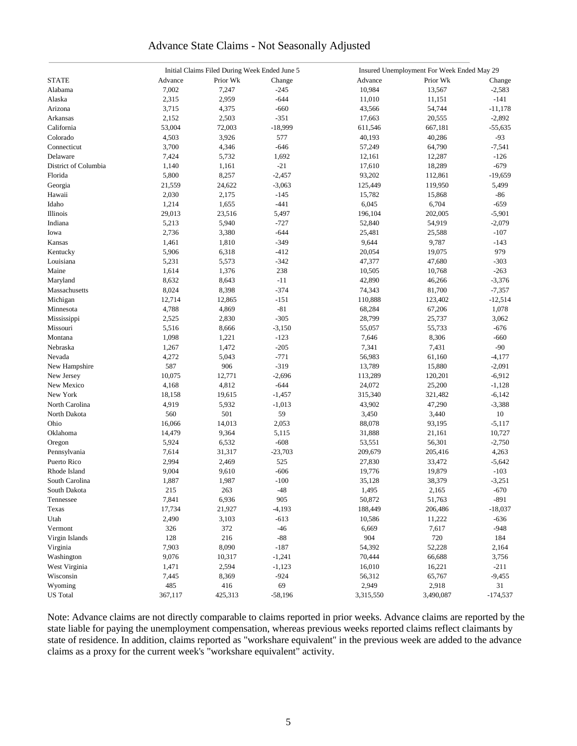### Advance State Claims - Not Seasonally Adjusted

|                      |         | Initial Claims Filed During Week Ended June 5 |           | Insured Unemployment For Week Ended May 29 |           |            |  |
|----------------------|---------|-----------------------------------------------|-----------|--------------------------------------------|-----------|------------|--|
| <b>STATE</b>         | Advance | Prior Wk                                      | Change    | Advance                                    | Prior Wk  | Change     |  |
| Alabama              | 7,002   | 7,247                                         | $-245$    | 10,984                                     | 13,567    | $-2,583$   |  |
| Alaska               | 2,315   | 2,959                                         | $-644$    | 11,010                                     | 11,151    | $-141$     |  |
| Arizona              | 3,715   | 4,375                                         | $-660$    | 43,566                                     | 54,744    | $-11,178$  |  |
| Arkansas             | 2,152   | 2,503                                         | $-351$    | 17,663                                     | 20,555    | $-2,892$   |  |
| California           | 53,004  | 72,003                                        | $-18,999$ | 611,546                                    | 667,181   | $-55,635$  |  |
| Colorado             | 4,503   | 3,926                                         | 577       | 40,193                                     | 40,286    | $-93$      |  |
| Connecticut          | 3,700   | 4,346                                         | $-646$    | 57,249                                     | 64,790    | $-7,541$   |  |
| Delaware             | 7,424   | 5,732                                         | 1,692     | 12,161                                     | 12,287    | $-126$     |  |
| District of Columbia | 1,140   | 1,161                                         | $-21$     | 17,610                                     | 18,289    | $-679$     |  |
| Florida              | 5,800   | 8,257                                         | $-2,457$  | 93,202                                     | 112,861   | $-19,659$  |  |
| Georgia              | 21,559  | 24,622                                        | $-3,063$  | 125,449                                    | 119,950   | 5,499      |  |
| Hawaii               | 2,030   | 2,175                                         | $-145$    | 15,782                                     | 15,868    | -86        |  |
| Idaho                | 1,214   | 1,655                                         | $-441$    | 6,045                                      | 6,704     | $-659$     |  |
| Illinois             | 29,013  | 23,516                                        | 5,497     | 196,104                                    | 202,005   | $-5,901$   |  |
| Indiana              | 5,213   | 5,940                                         | $-727$    | 52,840                                     | 54,919    | $-2,079$   |  |
|                      |         |                                               |           |                                            |           |            |  |
| Iowa                 | 2,736   | 3,380                                         | $-644$    | 25,481                                     | 25,588    | $-107$     |  |
| Kansas               | 1,461   | 1,810                                         | $-349$    | 9,644                                      | 9,787     | $-143$     |  |
| Kentucky             | 5,906   | 6,318                                         | $-412$    | 20,054                                     | 19,075    | 979        |  |
| Louisiana            | 5,231   | 5,573                                         | $-342$    | 47,377                                     | 47,680    | $-303$     |  |
| Maine                | 1,614   | 1,376                                         | 238       | 10,505                                     | 10,768    | $-263$     |  |
| Maryland             | 8,632   | 8,643                                         | $-11$     | 42,890                                     | 46,266    | $-3,376$   |  |
| Massachusetts        | 8,024   | 8,398                                         | $-374$    | 74,343                                     | 81,700    | $-7,357$   |  |
| Michigan             | 12,714  | 12,865                                        | $-151$    | 110,888                                    | 123,402   | $-12,514$  |  |
| Minnesota            | 4,788   | 4,869                                         | $-81$     | 68,284                                     | 67,206    | 1,078      |  |
| Mississippi          | 2,525   | 2,830                                         | $-305$    | 28,799                                     | 25,737    | 3,062      |  |
| Missouri             | 5,516   | 8,666                                         | $-3,150$  | 55,057                                     | 55,733    | $-676$     |  |
| Montana              | 1,098   | 1,221                                         | $-123$    | 7,646                                      | 8,306     | $-660$     |  |
| Nebraska             | 1,267   | 1,472                                         | $-205$    | 7,341                                      | 7,431     | $-90$      |  |
| Nevada               | 4,272   | 5,043                                         | $-771$    | 56,983                                     | 61,160    | -4,177     |  |
| New Hampshire        | 587     | 906                                           | $-319$    | 13,789                                     | 15,880    | $-2,091$   |  |
| New Jersey           | 10,075  | 12,771                                        | $-2,696$  | 113,289                                    | 120,201   | $-6,912$   |  |
| New Mexico           | 4,168   | 4,812                                         | $-644$    | 24,072                                     | 25,200    | $-1,128$   |  |
| New York             | 18,158  | 19,615                                        | $-1,457$  | 315,340                                    | 321,482   | $-6,142$   |  |
| North Carolina       | 4,919   | 5,932                                         | $-1,013$  | 43,902                                     | 47,290    | $-3,388$   |  |
| North Dakota         | 560     | 501                                           | 59        | 3,450                                      | 3,440     | 10         |  |
| Ohio                 | 16,066  | 14,013                                        | 2,053     | 88,078                                     | 93,195    | $-5,117$   |  |
| Oklahoma             | 14,479  | 9,364                                         | 5,115     | 31,888                                     | 21,161    | 10,727     |  |
| Oregon               | 5,924   | 6,532                                         | $-608$    | 53,551                                     | 56,301    | $-2,750$   |  |
| Pennsylvania         | 7,614   | 31,317                                        | $-23,703$ | 209,679                                    | 205,416   | 4,263      |  |
| Puerto Rico          | 2,994   | 2,469                                         | 525       | 27,830                                     | 33,472    | $-5,642$   |  |
| Rhode Island         | 9,004   | 9,610                                         | $-606$    | 19,776                                     | 19,879    | $-103$     |  |
| South Carolina       | 1,887   | 1,987                                         | $-100$    | 35,128                                     | 38,379    | $-3,251$   |  |
| South Dakota         | 215     | 263                                           | $-48$     | 1,495                                      | 2,165     | $-670$     |  |
| Tennessee            | 7,841   | 6,936                                         | 905       | 50,872                                     | 51,763    | $-891$     |  |
| Texas                | 17,734  | 21,927                                        | $-4,193$  | 188,449                                    | 206,486   | $-18,037$  |  |
| Utah                 | 2,490   | 3,103                                         | $-613$    | 10,586                                     | 11,222    | -636       |  |
| Vermont              | 326     | 372                                           | $-46$     | 6,669                                      | 7,617     | $-948$     |  |
| Virgin Islands       | 128     | 216                                           | $-88$     | 904                                        | 720       | 184        |  |
| Virginia             | 7,903   | 8,090                                         | $-187$    | 54,392                                     | 52,228    | 2,164      |  |
| Washington           | 9,076   | 10,317                                        | $-1,241$  | 70,444                                     | 66,688    | 3,756      |  |
| West Virginia        | 1,471   | 2,594                                         | $-1,123$  | 16,010                                     | 16,221    | $-211$     |  |
| Wisconsin            | 7,445   | 8,369                                         | $-924$    | 56,312                                     | 65,767    | $-9,455$   |  |
| Wyoming              | 485     | 416                                           | 69        | 2,949                                      | 2,918     | 31         |  |
| <b>US</b> Total      | 367,117 | 425,313                                       | $-58,196$ | 3,315,550                                  | 3,490,087 | $-174,537$ |  |
|                      |         |                                               |           |                                            |           |            |  |

Note: Advance claims are not directly comparable to claims reported in prior weeks. Advance claims are reported by the state liable for paying the unemployment compensation, whereas previous weeks reported claims reflect claimants by state of residence. In addition, claims reported as "workshare equivalent" in the previous week are added to the advance claims as a proxy for the current week's "workshare equivalent" activity.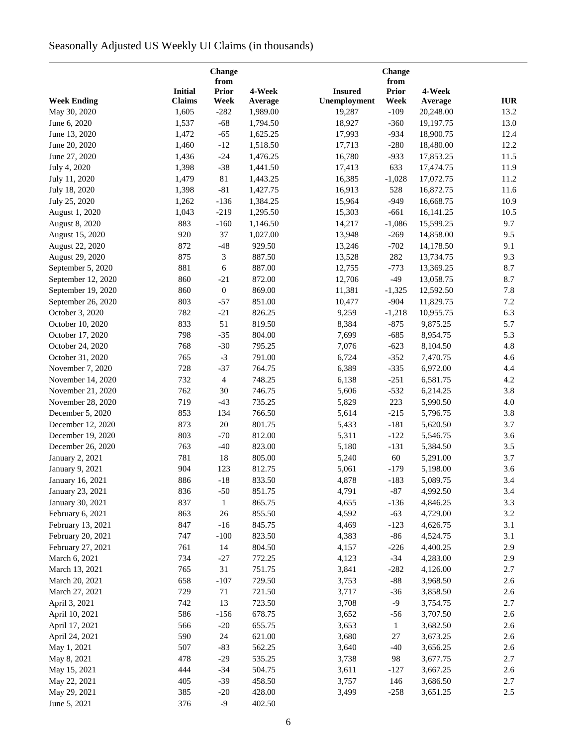# Seasonally Adjusted US Weekly UI Claims (in thousands)

|                    |                | Change<br>from   |          |                | Change<br>from |           |            |
|--------------------|----------------|------------------|----------|----------------|----------------|-----------|------------|
|                    | <b>Initial</b> | <b>Prior</b>     | 4-Week   | <b>Insured</b> | Prior          | 4-Week    |            |
| <b>Week Ending</b> | <b>Claims</b>  | Week             | Average  | Unemployment   | Week           | Average   | <b>IUR</b> |
| May 30, 2020       | 1,605          | $-282$           | 1,989.00 | 19,287         | $-109$         | 20,248.00 | 13.2       |
| June 6, 2020       | 1,537          | $-68$            | 1,794.50 | 18,927         | $-360$         | 19,197.75 | 13.0       |
| June 13, 2020      | 1,472          | $-65$            | 1,625.25 | 17,993         | $-934$         | 18,900.75 | 12.4       |
| June 20, 2020      | 1,460          | $-12$            | 1,518.50 | 17,713         | $-280$         | 18,480.00 | 12.2       |
| June 27, 2020      | 1,436          | $-24$            | 1,476.25 | 16,780         | $-933$         | 17,853.25 | 11.5       |
| July 4, 2020       | 1,398          | $-38$            | 1,441.50 | 17,413         | 633            | 17,474.75 | 11.9       |
| July 11, 2020      | 1,479          | 81               | 1,443.25 | 16,385         | $-1,028$       | 17,072.75 | 11.2       |
| July 18, 2020      | 1,398          | $-81$            | 1,427.75 | 16,913         | 528            | 16,872.75 | 11.6       |
| July 25, 2020      | 1,262          | $-136$           | 1,384.25 | 15,964         | $-949$         | 16,668.75 | 10.9       |
| August 1, 2020     | 1,043          | $-219$           | 1,295.50 | 15,303         | $-661$         | 16,141.25 | 10.5       |
| August 8, 2020     | 883            | $-160$           | 1,146.50 | 14,217         | $-1,086$       | 15,599.25 | 9.7        |
| August 15, 2020    | 920            | 37               | 1,027.00 | 13,948         | $-269$         | 14,858.00 | 9.5        |
| August 22, 2020    | 872            | $-48$            | 929.50   | 13,246         | $-702$         | 14,178.50 | 9.1        |
| August 29, 2020    | 875            | 3                | 887.50   | 13,528         | 282            | 13,734.75 | 9.3        |
| September 5, 2020  | 881            | $\epsilon$       | 887.00   | 12,755         | $-773$         | 13,369.25 | 8.7        |
| September 12, 2020 | 860            | $-21$            | 872.00   | 12,706         | $-49$          | 13,058.75 | 8.7        |
|                    |                |                  |          |                |                |           |            |
| September 19, 2020 | 860            | $\boldsymbol{0}$ | 869.00   | 11,381         | $-1,325$       | 12,592.50 | 7.8        |
| September 26, 2020 | 803            | $-57$            | 851.00   | 10,477         | $-904$         | 11,829.75 | 7.2        |
| October 3, 2020    | 782            | $-21$            | 826.25   | 9,259          | $-1,218$       | 10,955.75 | 6.3        |
| October 10, 2020   | 833            | 51               | 819.50   | 8,384          | $-875$         | 9,875.25  | 5.7        |
| October 17, 2020   | 798            | $-35$            | 804.00   | 7,699          | $-685$         | 8,954.75  | 5.3        |
| October 24, 2020   | 768            | $-30$            | 795.25   | 7,076          | $-623$         | 8,104.50  | 4.8        |
| October 31, 2020   | 765            | $-3$             | 791.00   | 6,724          | $-352$         | 7,470.75  | 4.6        |
| November 7, 2020   | 728            | $-37$            | 764.75   | 6,389          | $-335$         | 6,972.00  | 4.4        |
| November 14, 2020  | 732            | $\overline{4}$   | 748.25   | 6,138          | $-251$         | 6,581.75  | 4.2        |
| November 21, 2020  | 762            | 30               | 746.75   | 5,606          | $-532$         | 6,214.25  | 3.8        |
| November 28, 2020  | 719            | $-43$            | 735.25   | 5,829          | 223            | 5,990.50  | 4.0        |
| December 5, 2020   | 853            | 134              | 766.50   | 5,614          | $-215$         | 5,796.75  | 3.8        |
| December 12, 2020  | 873            | 20               | 801.75   | 5,433          | $-181$         | 5,620.50  | 3.7        |
| December 19, 2020  | 803            | $-70$            | 812.00   | 5,311          | $-122$         | 5,546.75  | 3.6        |
| December 26, 2020  | 763            | $-40$            | 823.00   | 5,180          | $-131$         | 5,384.50  | 3.5        |
| January 2, 2021    | 781            | 18               | 805.00   | 5,240          | 60             | 5,291.00  | 3.7        |
| January 9, 2021    | 904            | 123              | 812.75   | 5,061          | $-179$         | 5,198.00  | 3.6        |
| January 16, 2021   | 886            | $-18$            | 833.50   | 4,878          | $-183$         | 5,089.75  | 3.4        |
| January 23, 2021   | 836            | $-50$            | 851.75   | 4,791          | $-87$          | 4,992.50  | 3.4        |
| January 30, 2021   | 837            | $\mathbf{1}$     | 865.75   | 4,655          | $-136$         | 4,846.25  | 3.3        |
| February 6, 2021   | 863            | 26               | 855.50   | 4,592          | $-63$          | 4,729.00  | 3.2        |
| February 13, 2021  | 847            | $-16$            | 845.75   | 4,469          | $-123$         | 4,626.75  | 3.1        |
| February 20, 2021  | 747            | $-100$           | 823.50   | 4,383          | $-86$          | 4,524.75  | 3.1        |
| February 27, 2021  | 761            | 14               | 804.50   | 4,157          | $-226$         | 4,400.25  | 2.9        |
| March 6, 2021      | 734            | $-27$            | 772.25   | 4,123          | $-34$          | 4,283.00  | 2.9        |
| March 13, 2021     | 765            | 31               | 751.75   | 3,841          | $-282$         | 4,126.00  | 2.7        |
| March 20, 2021     | 658            | $-107$           | 729.50   | 3,753          | $-88$          | 3,968.50  | 2.6        |
| March 27, 2021     | 729            | 71               | 721.50   | 3,717          | $-36$          | 3,858.50  | 2.6        |
| April 3, 2021      | 742            | 13               | 723.50   | 3,708          | $-9$           | 3,754.75  | 2.7        |
| April 10, 2021     | 586            | $-156$           | 678.75   | 3,652          | $-56$          | 3,707.50  | 2.6        |
| April 17, 2021     | 566            | $-20$            | 655.75   | 3,653          | $\mathbf{1}$   | 3,682.50  | 2.6        |
| April 24, 2021     | 590            | 24               | 621.00   | 3,680          | 27             | 3,673.25  | 2.6        |
| May 1, 2021        | 507            | $-83$            | 562.25   | 3,640          | $-40$          | 3,656.25  | 2.6        |
| May 8, 2021        | 478            | $-29$            | 535.25   | 3,738          | 98             | 3,677.75  | 2.7        |
| May 15, 2021       | 444            | $-34$            | 504.75   | 3,611          | $-127$         | 3,667.25  | 2.6        |
| May 22, 2021       | 405            | $-39$            | 458.50   | 3,757          | 146            | 3,686.50  | 2.7        |
| May 29, 2021       | 385            | $-20$            | 428.00   | 3,499          | $-258$         | 3,651.25  | $2.5\,$    |
| June 5, 2021       | 376            | $-9$             | 402.50   |                |                |           |            |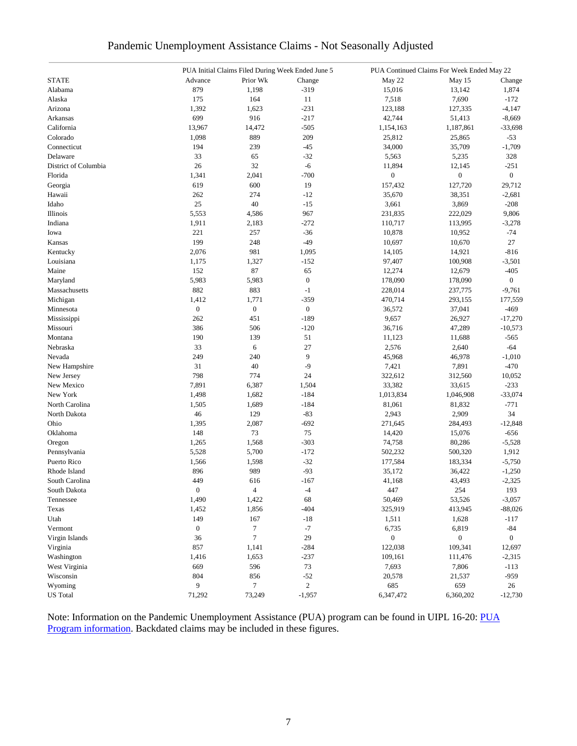|  | Pandemic Unemployment Assistance Claims - Not Seasonally Adjusted |  |  |  |
|--|-------------------------------------------------------------------|--|--|--|
|  |                                                                   |  |  |  |

|                      |                  | PUA Initial Claims Filed During Week Ended June 5 |                  | PUA Continued Claims For Week Ended May 22 |                  |                |  |
|----------------------|------------------|---------------------------------------------------|------------------|--------------------------------------------|------------------|----------------|--|
| <b>STATE</b>         | Advance          | Prior Wk                                          | Change           | May 22                                     | May 15           | Change         |  |
| Alabama              | 879              | 1,198                                             | $-319$           | 15,016                                     | 13,142           | 1,874          |  |
| Alaska               | 175              | 164                                               | 11               | 7,518                                      | 7,690            | $-172$         |  |
| Arizona              | 1,392            | 1,623                                             | $-231$           | 123,188                                    | 127,335          | $-4,147$       |  |
| Arkansas             | 699              | 916                                               | $-217$           | 42,744                                     | 51,413           | $-8,669$       |  |
| California           | 13,967           | 14,472                                            | $-505$           | 1,154,163                                  | 1,187,861        | $-33,698$      |  |
| Colorado             | 1,098            | 889                                               | 209              | 25,812                                     | 25,865           | $-53$          |  |
| Connecticut          | 194              | 239                                               | $-45$            | 34,000                                     | 35,709           | $-1,709$       |  |
| Delaware             | 33               | 65                                                | $-32$            | 5,563                                      | 5,235            | 328            |  |
| District of Columbia | 26               | 32                                                | $-6$             | 11,894                                     | 12,145           | $-251$         |  |
| Florida              | 1,341            | 2,041                                             | $-700$           | 0                                          | $\boldsymbol{0}$ | $\overline{0}$ |  |
| Georgia              | 619              | 600                                               | 19               | 157,432                                    | 127,720          | 29,712         |  |
| Hawaii               | 262              | 274                                               | $-12$            | 35,670                                     | 38,351           | $-2,681$       |  |
| Idaho                | 25               | 40                                                | $-15$            | 3,661                                      | 3,869            | $-208$         |  |
|                      |                  |                                                   | 967              |                                            |                  |                |  |
| Illinois             | 5,553            | 4,586                                             |                  | 231,835                                    | 222,029          | 9,806          |  |
| Indiana              | 1,911            | 2,183                                             | $-272$           | 110,717                                    | 113,995          | $-3,278$       |  |
| Iowa                 | 221              | 257                                               | $-36$            | 10,878                                     | 10,952           | $-74$          |  |
| Kansas               | 199              | 248                                               | $-49$            | 10,697                                     | 10,670           | 27             |  |
| Kentucky             | 2,076            | 981                                               | 1,095            | 14,105                                     | 14,921           | $-816$         |  |
| Louisiana            | 1,175            | 1,327                                             | $-152$           | 97,407                                     | 100,908          | $-3,501$       |  |
| Maine                | 152              | 87                                                | 65               | 12,274                                     | 12,679           | $-405$         |  |
| Maryland             | 5,983            | 5,983                                             | $\boldsymbol{0}$ | 178,090                                    | 178,090          | $\overline{0}$ |  |
| Massachusetts        | 882              | 883                                               | $-1$             | 228,014                                    | 237,775          | $-9,761$       |  |
| Michigan             | 1,412            | 1,771                                             | $-359$           | 470,714                                    | 293,155          | 177,559        |  |
| Minnesota            | $\overline{0}$   | $\boldsymbol{0}$                                  | $\boldsymbol{0}$ | 36,572                                     | 37,041           | $-469$         |  |
| Mississippi          | 262              | 451                                               | $-189$           | 9,657                                      | 26,927           | $-17,270$      |  |
| Missouri             | 386              | 506                                               | $-120$           | 36,716                                     | 47,289           | $-10,573$      |  |
| Montana              | 190              | 139                                               | 51               | 11,123                                     | 11,688           | $-565$         |  |
| Nebraska             | 33               | 6                                                 | 27               | 2,576                                      | 2,640            | $-64$          |  |
| Nevada               | 249              | 240                                               | 9                | 45,968                                     | 46,978           | $-1,010$       |  |
| New Hampshire        | 31               | 40                                                | $-9$             | 7,421                                      | 7,891            | $-470$         |  |
| New Jersey           | 798              | 774                                               | 24               | 322,612                                    | 312,560          | 10,052         |  |
| New Mexico           | 7,891            | 6,387                                             | 1,504            | 33,382                                     | 33,615           | $-233$         |  |
| New York             | 1,498            | 1,682                                             | $-184$           | 1,013,834                                  | 1,046,908        | $-33,074$      |  |
| North Carolina       | 1,505            | 1,689                                             | $-184$           | 81,061                                     | 81,832           | $-771$         |  |
| North Dakota         | 46               | 129                                               | $-83$            | 2,943                                      | 2,909            | 34             |  |
| Ohio                 | 1,395            | 2,087                                             | $-692$           | 271,645                                    | 284,493          | $-12,848$      |  |
| Oklahoma             | 148              | 73                                                | 75               | 14,420                                     | 15,076           | $-656$         |  |
| Oregon               | 1,265            | 1,568                                             | $-303$           | 74,758                                     | 80,286           | $-5,528$       |  |
| Pennsylvania         | 5,528            | 5,700                                             | $-172$           | 502,232                                    | 500,320          | 1,912          |  |
| Puerto Rico          | 1,566            | 1,598                                             | $-32$            | 177,584                                    | 183,334          | $-5,750$       |  |
| Rhode Island         | 896              | 989                                               | $-93$            | 35,172                                     | 36,422           | $-1,250$       |  |
| South Carolina       | 449              | 616                                               | $-167$           | 41,168                                     | 43,493           | $-2,325$       |  |
| South Dakota         | $\overline{0}$   | $\overline{4}$                                    | $-4$             | 447                                        | 254              | 193            |  |
| Tennessee            | 1,490            | 1,422                                             | 68               | 50,469                                     | 53,526           | $-3,057$       |  |
| Texas                | 1,452            | 1,856                                             | $-404$           | 325,919                                    | 413,945          | $-88,026$      |  |
| Utah                 | 149              | 167                                               | $\mbox{-}18$     | 1,511                                      | 1,628            |                |  |
| Vermont              | $\boldsymbol{0}$ | $\tau$                                            | $-7$             |                                            |                  | -117           |  |
|                      |                  |                                                   |                  | 6,735                                      | 6,819            | $-84$          |  |
| Virgin Islands       | 36               | $\tau$                                            | 29               | $\overline{0}$                             | $\boldsymbol{0}$ | $\overline{0}$ |  |
| Virginia             | 857              | 1,141                                             | $-284$           | 122,038                                    | 109,341          | 12,697         |  |
| Washington           | 1,416            | 1,653                                             | $-237$           | 109,161                                    | 111,476          | $-2,315$       |  |
| West Virginia        | 669              | 596                                               | 73               | 7,693                                      | 7,806            | $-113$         |  |
| Wisconsin            | 804              | 856                                               | $-52$            | 20,578                                     | 21,537           | -959           |  |
| Wyoming              | 9                | 7                                                 | $\overline{c}$   | 685                                        | 659              | 26             |  |
| <b>US</b> Total      | 71,292           | 73,249                                            | $-1,957$         | 6,347,472                                  | 6,360,202        | $-12,730$      |  |

Note: Information on the Pandemic Unemployment Assistance (PUA) program can be found in UIPL 16-20: PUA [Program information.](https://wdr.doleta.gov/directives/corr_doc.cfm?DOCN=4628) Backdated claims may be included in these figures.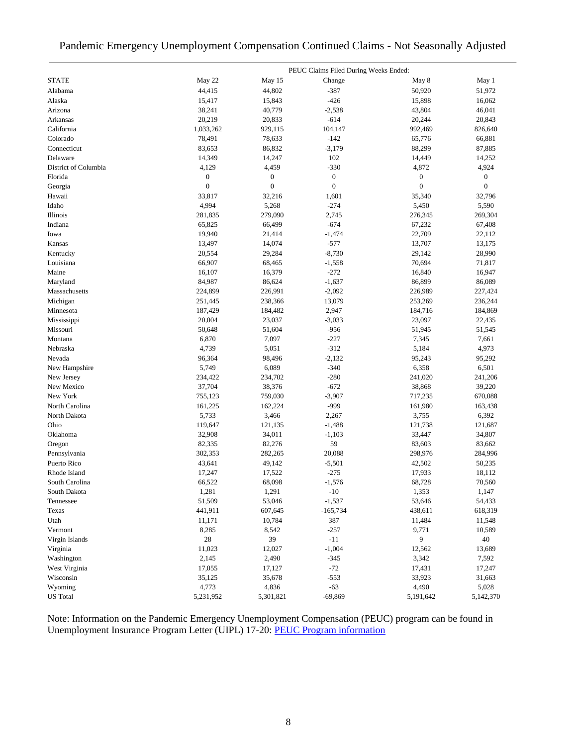### Pandemic Emergency Unemployment Compensation Continued Claims - Not Seasonally Adjusted

|                      |                  |                  | PEUC Claims Filed During Weeks Ended: |                  |                  |
|----------------------|------------------|------------------|---------------------------------------|------------------|------------------|
| <b>STATE</b>         | May 22           | May 15           | Change                                | May 8            | May 1            |
| Alabama              | 44,415           | 44,802           | $-387$                                | 50,920           | 51,972           |
| Alaska               | 15,417           | 15,843           | $-426$                                | 15,898           | 16,062           |
| Arizona              | 38,241           | 40,779           | $-2,538$                              | 43,804           | 46,041           |
| Arkansas             | 20,219           | 20,833           | $-614$                                | 20,244           | 20,843           |
| California           | 1,033,262        | 929,115          | 104,147                               | 992,469          | 826,640          |
| Colorado             | 78,491           | 78,633           | $-142$                                | 65,776           | 66,881           |
| Connecticut          | 83,653           | 86,832           | $-3,179$                              | 88,299           | 87,885           |
| Delaware             | 14,349           | 14,247           | 102                                   | 14,449           | 14,252           |
| District of Columbia | 4,129            | 4,459            | $-330$                                | 4,872            | 4,924            |
| Florida              | $\boldsymbol{0}$ | $\boldsymbol{0}$ | $\boldsymbol{0}$                      | $\boldsymbol{0}$ | $\boldsymbol{0}$ |
| Georgia              | $\boldsymbol{0}$ | $\boldsymbol{0}$ | $\boldsymbol{0}$                      | $\mathbf{0}$     | $\mathbf{0}$     |
| Hawaii               | 33,817           | 32,216           | 1,601                                 | 35,340           | 32,796           |
| Idaho                | 4,994            | 5,268            | $-274$                                | 5,450            | 5,590            |
| Illinois             | 281,835          | 279,090          | 2,745                                 | 276,345          | 269,304          |
| Indiana              | 65,825           | 66,499           | $-674$                                | 67,232           | 67,408           |
| Iowa                 | 19,940           | 21,414           | $-1,474$                              | 22,709           | 22,112           |
| Kansas               | 13,497           | 14,074           | $-577$                                | 13,707           | 13,175           |
| Kentucky             | 20,554           | 29,284           | $-8,730$                              | 29,142           | 28,990           |
| Louisiana            | 66,907           | 68,465           | $-1,558$                              | 70,694           | 71,817           |
| Maine                | 16,107           | 16,379           | $-272$                                | 16,840           | 16,947           |
| Maryland             | 84,987           | 86,624           | $-1,637$                              | 86,899           | 86,089           |
| Massachusetts        | 224,899          | 226,991          | $-2,092$                              | 226,989          | 227,424          |
| Michigan             | 251,445          | 238,366          | 13,079                                | 253,269          | 236,244          |
| Minnesota            | 187,429          | 184,482          | 2,947                                 | 184,716          | 184,869          |
| Mississippi          | 20,004           | 23,037           | $-3,033$                              | 23,097           | 22,435           |
| Missouri             | 50,648           | 51,604           | -956                                  | 51,945           | 51,545           |
| Montana              | 6,870            | 7,097            | $-227$                                | 7,345            | 7,661            |
| Nebraska             | 4,739            | 5,051            | $-312$                                | 5,184            | 4,973            |
| Nevada               | 96,364           | 98,496           | $-2,132$                              | 95,243           | 95,292           |
| New Hampshire        | 5,749            | 6,089            | $-340$                                | 6,358            | 6,501            |
| New Jersey           | 234,422          | 234,702          | $-280$                                | 241,020          | 241,206          |
| New Mexico           | 37,704           | 38,376           | $-672$                                | 38,868           | 39,220           |
| New York             | 755,123          | 759,030          | $-3,907$                              | 717,235          | 670,088          |
| North Carolina       | 161,225          | 162,224          | $-999$                                | 161,980          | 163,438          |
| North Dakota         | 5,733            | 3,466            | 2,267                                 | 3,755            | 6,392            |
| Ohio                 | 119,647          | 121,135          | $-1,488$                              | 121,738          | 121,687          |
| Oklahoma             | 32,908           | 34,011           | $-1,103$                              | 33,447           | 34,807           |
| Oregon               | 82,335           | 82,276           | 59                                    | 83,603           | 83,662           |
| Pennsylvania         | 302,353          | 282,265          | 20,088                                | 298,976          | 284,996          |
| Puerto Rico          | 43,641           | 49,142           | $-5,501$                              | 42,502           | 50,235           |
| Rhode Island         | 17,247           | 17,522           | $-275$                                | 17,933           | 18,112           |
| South Carolina       | 66,522           | 68,098           | $-1,576$                              | 68,728           | 70,560           |
| South Dakota         | 1,281            | 1,291            | $-10$                                 | 1,353            | 1,147            |
| Tennessee            | 51,509           | 53,046           | $-1,537$                              | 53,646           | 54,433           |
| Texas                | 441,911          | 607,645          | $-165,734$                            | 438,611          | 618,319          |
| Utah                 | 11,171           | 10,784           | 387                                   | 11,484           | 11,548           |
| Vermont              | 8,285            | 8,542            | $-257$                                | 9,771            | 10,589           |
| Virgin Islands       | 28               | 39               | $-11$                                 | 9                | 40               |
| Virginia             | 11,023           | 12,027           | $-1,004$                              | 12,562           | 13,689           |
| Washington           | 2,145            | 2,490            | $-345$                                | 3,342            | 7,592            |
| West Virginia        | 17,055           | 17,127           | $-72$                                 | 17,431           | 17,247           |
| Wisconsin            | 35,125           | 35,678           | $-553$                                | 33,923           | 31,663           |
| Wyoming              | 4,773            | 4,836            | $-63$                                 | 4,490            | 5,028            |
| <b>US</b> Total      | 5,231,952        | 5,301,821        | $-69,869$                             | 5,191,642        | 5,142,370        |

Note: Information on the Pandemic Emergency Unemployment Compensation (PEUC) program can be found in Unemployment Insurance Program Letter (UIPL) 17-20: [PEUC Program information](https://wdr.doleta.gov/directives/corr_doc.cfm?DOCN=8452)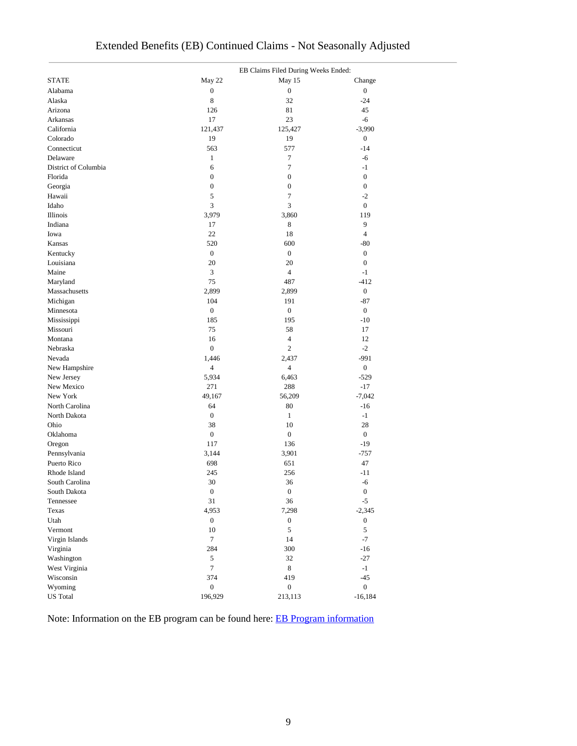|                                | EB Claims Filed During Weeks Ended: |                  |                  |  |  |  |  |  |
|--------------------------------|-------------------------------------|------------------|------------------|--|--|--|--|--|
| <b>STATE</b>                   | May 22                              | May 15           | Change           |  |  |  |  |  |
| Alabama                        | $\boldsymbol{0}$                    | $\boldsymbol{0}$ | $\boldsymbol{0}$ |  |  |  |  |  |
| Alaska                         | 8                                   | 32               | $-24$            |  |  |  |  |  |
| Arizona                        | 126                                 | 81               | 45               |  |  |  |  |  |
| Arkansas                       | 17                                  | 23               | $-6$             |  |  |  |  |  |
| California                     | 121,437                             | 125,427          | $-3,990$         |  |  |  |  |  |
| Colorado                       | 19                                  | 19               | $\boldsymbol{0}$ |  |  |  |  |  |
| Connecticut                    | 563                                 | 577              | $-14$            |  |  |  |  |  |
| Delaware                       | $\mathbf{1}$                        | $\tau$           | $-6$             |  |  |  |  |  |
| District of Columbia           | 6                                   | $\tau$           | $-1$             |  |  |  |  |  |
| Florida                        | $\boldsymbol{0}$                    | $\boldsymbol{0}$ | $\boldsymbol{0}$ |  |  |  |  |  |
| Georgia                        | $\boldsymbol{0}$                    | $\boldsymbol{0}$ | $\boldsymbol{0}$ |  |  |  |  |  |
| Hawaii                         | 5                                   | $\tau$           | $-2$             |  |  |  |  |  |
| Idaho                          | 3                                   | 3                | $\boldsymbol{0}$ |  |  |  |  |  |
| Illinois                       | 3,979                               | 3,860            | 119              |  |  |  |  |  |
| Indiana                        | 17                                  | 8                | 9                |  |  |  |  |  |
| Iowa                           | 22                                  | 18               | 4                |  |  |  |  |  |
| Kansas                         | 520                                 | 600              | $-80$            |  |  |  |  |  |
| Kentucky                       | $\boldsymbol{0}$                    | $\boldsymbol{0}$ | $\boldsymbol{0}$ |  |  |  |  |  |
| Louisiana                      | 20                                  | 20               | $\boldsymbol{0}$ |  |  |  |  |  |
| Maine                          | 3                                   | $\overline{4}$   | $-1$             |  |  |  |  |  |
| Maryland                       | 75                                  | 487              | $-412$           |  |  |  |  |  |
| Massachusetts                  | 2,899                               | 2,899            | $\boldsymbol{0}$ |  |  |  |  |  |
| Michigan                       | 104                                 | 191              | $-87$            |  |  |  |  |  |
| Minnesota                      | $\boldsymbol{0}$                    | $\boldsymbol{0}$ | $\boldsymbol{0}$ |  |  |  |  |  |
| Mississippi                    | 185                                 | 195              | $-10$            |  |  |  |  |  |
| Missouri                       | 75                                  | 58               | 17               |  |  |  |  |  |
| Montana                        | 16                                  | $\overline{4}$   | 12               |  |  |  |  |  |
| Nebraska                       | $\boldsymbol{0}$                    | $\mathbf{2}$     | $-2$             |  |  |  |  |  |
| Nevada                         | 1,446                               | 2,437            | $-991$           |  |  |  |  |  |
| New Hampshire                  | $\overline{4}$                      | $\overline{4}$   | $\boldsymbol{0}$ |  |  |  |  |  |
| New Jersey                     | 5,934                               | 6,463            | $-529$           |  |  |  |  |  |
| New Mexico                     | 271                                 | 288              | $-17$            |  |  |  |  |  |
| New York                       | 49,167                              | 56,209           | $-7,042$         |  |  |  |  |  |
| North Carolina                 | 64                                  | 80               | $-16$            |  |  |  |  |  |
| North Dakota                   | $\boldsymbol{0}$                    | $\mathbf{1}$     | $-1$             |  |  |  |  |  |
| Ohio                           | 38                                  | 10               | 28               |  |  |  |  |  |
| Oklahoma                       | $\boldsymbol{0}$                    | $\boldsymbol{0}$ | $\boldsymbol{0}$ |  |  |  |  |  |
|                                | 117                                 | 136              | $-19$            |  |  |  |  |  |
| Oregon<br>Pennsylvania         | 3,144                               | 3,901            | $-757$           |  |  |  |  |  |
| Puerto Rico                    | 698                                 | 651              | 47               |  |  |  |  |  |
|                                |                                     |                  | $-11$            |  |  |  |  |  |
| Rhode Island<br>South Carolina | 245<br>30                           | 256<br>36        |                  |  |  |  |  |  |
|                                |                                     |                  | -6               |  |  |  |  |  |
| South Dakota                   | $\boldsymbol{0}$                    | $\boldsymbol{0}$ | $\boldsymbol{0}$ |  |  |  |  |  |
| Tennessee                      | 31                                  | 36               | $-5$             |  |  |  |  |  |
| Texas                          | 4,953                               | 7,298            | $-2,345$         |  |  |  |  |  |
| Utah                           | $\boldsymbol{0}$                    | $\boldsymbol{0}$ | $\boldsymbol{0}$ |  |  |  |  |  |
| Vermont                        | 10                                  | $\sqrt{5}$       | $\sqrt{5}$       |  |  |  |  |  |
| Virgin Islands                 | $\boldsymbol{7}$                    | 14               | $-7$             |  |  |  |  |  |
| Virginia                       | 284                                 | 300              | $-16$            |  |  |  |  |  |
| Washington                     | 5                                   | 32               | $-27$            |  |  |  |  |  |
| West Virginia                  | $\tau$                              | $8\,$            | $-1$             |  |  |  |  |  |
| Wisconsin                      | 374                                 | 419              | $-45$            |  |  |  |  |  |
| Wyoming                        | $\boldsymbol{0}$                    | $\boldsymbol{0}$ | $\overline{0}$   |  |  |  |  |  |
| <b>US</b> Total                | 196,929                             | 213,113          | $-16,184$        |  |  |  |  |  |

## Extended Benefits (EB) Continued Claims - Not Seasonally Adjusted

Note: Information on the EB program can be found here: [EB Program information](https://oui.doleta.gov/unemploy/extenben.asp)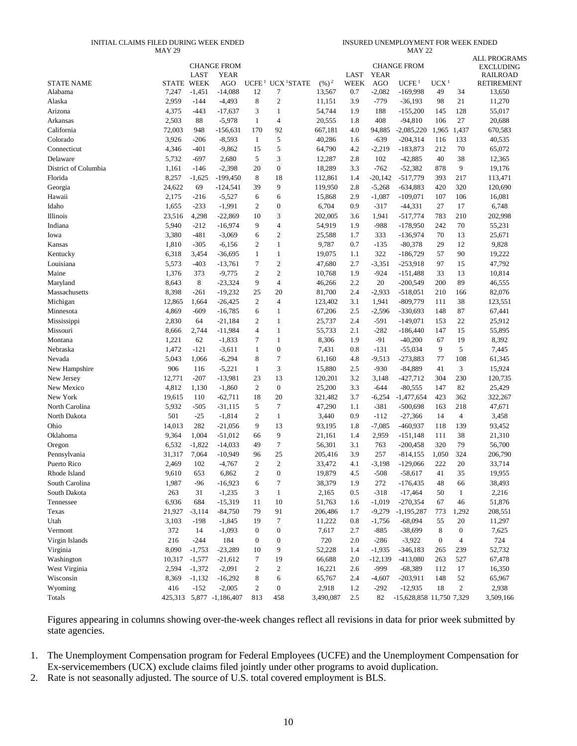#### INITIAL CLAIMS FILED DURING WEEK ENDED MAY 29

INSURED UNEMPLOYMENT FOR WEEK ENDED MAY 22

|                             |                   |                 |                          |                   |                            |                   |                     |                           |                          |                  |                  | <b>ALL PROGRAMS</b>                  |
|-----------------------------|-------------------|-----------------|--------------------------|-------------------|----------------------------|-------------------|---------------------|---------------------------|--------------------------|------------------|------------------|--------------------------------------|
|                             |                   |                 | CHANGE FROM              |                   |                            |                   |                     |                           | <b>CHANGE FROM</b>       |                  |                  | <b>EXCLUDING</b>                     |
| <b>STATE NAME</b>           | <b>STATE WEEK</b> | LAST            | YEAR<br>AGO              | UCFE <sup>1</sup> | UCX <sup>1</sup> STATE     | $(\frac{9}{6})^2$ | LAST<br><b>WEEK</b> | <b>YEAR</b><br><b>AGO</b> | UCFE <sup>1</sup>        | UCX <sup>1</sup> |                  | <b>RAILROAD</b><br><b>RETIREMENT</b> |
| Alabama                     | 7,247             | $-1,451$        | $-14,088$                | 12                | 7                          | 13,567            | 0.7                 | $-2,082$                  | $-169,998$               | 49               | 34               | 13,650                               |
| Alaska                      | 2,959             | $-144$          | $-4,493$                 | 8                 | $\sqrt{2}$                 | 11,151            | 3.9                 | $-779$                    | $-36,193$                | 98               | 21               | 11,270                               |
| Arizona                     | 4,375             | $-443$          | $-17,637$                | 3                 | 1                          | 54,744            | 1.9                 | 188                       | $-155,200$               | 145              | 128              | 55,017                               |
| Arkansas                    | 2,503             | 88              | $-5,978$                 | 1                 | $\overline{4}$             | 20,555            | 1.8                 | 408                       | $-94,810$                | 106              | 27               | 20,688                               |
| California                  | 72,003            | 948             | $-156,631$               | 170               | 92                         | 667,181           | 4.0                 | 94,885                    | $-2,085,220$             | 1,965            | 1,437            | 670,583                              |
| Colorado                    | 3,926             | -206            | $-8,593$                 | 1                 | 5                          | 40,286            | 1.6                 | $-639$                    | $-204,314$               | 116              | 133              | 40,535                               |
| Connecticut                 | 4,346             | $-401$          | $-9,862$                 | 15                | 5                          | 64,790            | 4.2                 | $-2,219$                  | $-183,873$               | 212              | 70               | 65,072                               |
| Delaware                    | 5,732             | $-697$          | 2,680                    | 5                 | 3                          | 12,287            | 2.8                 | 102                       | $-42,885$                | 40               | 38               | 12,365                               |
| District of Columbia        | 1,161             | $-146$          | $-2,398$                 | 20                | $\boldsymbol{0}$           | 18,289            | 3.3                 | $-762$                    | $-52,382$                | 878              | 9                | 19,176                               |
| Florida                     | 8,257             | $-1,625$        | $-199,450$               | 8                 | 18                         | 112,861           | 1.4                 | $-20,142$                 | $-517,779$               | 393              | 217              | 113,471                              |
| Georgia                     | 24,622            | 69              | $-124,541$               | 39                | 9                          | 119,950           | 2.8                 | $-5,268$                  | $-634,883$               | 420              | 320              | 120,690                              |
| Hawaii                      | 2,175             | $-216$          | $-5,527$                 | 6                 | 6                          | 15,868            | 2.9                 | $-1,087$                  | $-109,071$               | 107              | 106              | 16,081                               |
| Idaho                       | 1,655             | $-233$          | $-1,991$                 | 2                 | $\boldsymbol{0}$           | 6,704             | 0.9                 | $-317$                    | $-44,331$                | 27               | 17               | 6,748                                |
| Illinois                    | 23,516            | 4,298           | $-22,869$                | 10                | 3                          | 202,005           | 3.6                 | 1,941                     | $-517,774$               | 783              | 210              | 202,998                              |
| Indiana                     | 5,940             | $-212$          | $-16,974$                | 9                 | $\overline{4}$             | 54,919            | 1.9                 | $-988$                    | $-178,950$               | 242              | 70               | 55,231                               |
| Iowa                        | 3,380             | $-481$          | $-3,069$                 | 6                 | $\overline{c}$             | 25,588            | 1.7                 | 333                       | $-136,974$               | 70               | 13               | 25,671                               |
| Kansas                      | 1,810             | $-305$          | $-6,156$                 | 2                 | 1                          | 9,787             | 0.7                 | $-135$                    | $-80,378$                | 29               | 12               | 9,828                                |
|                             | 6,318             |                 | $-36,695$                | $\mathbf{1}$      | 1                          | 19,075            |                     | 322                       | $-186,729$               | 57               | 90               | 19,222                               |
| Kentucky<br>Louisiana       | 5,573             | 3,454<br>$-403$ | $-13,761$                | $\overline{7}$    | $\mathfrak{2}$             | 47,680            | 1.1<br>2.7          |                           | $-253,918$               | 97               | 15               | 47,792                               |
| Maine                       |                   | 373             |                          | $\overline{2}$    | $\mathbf{2}$               |                   |                     | $-3,351$<br>$-924$        | $-151,488$               | 33               |                  |                                      |
|                             | 1,376             | 8               | $-9,775$                 | 9                 | 4                          | 10,768            | 1.9                 | 20                        |                          | 200              | 13<br>89         | 10,814                               |
| Maryland<br>Massachusetts   | 8,643             | $-261$          | $-23,324$                | 25                | 20                         | 46,266            | 2.2<br>2.4          |                           | $-200,549$               |                  |                  | 46,555                               |
|                             | 8,398             |                 | $-19,232$                | $\mathbf{2}$      | $\overline{4}$             | 81,700            |                     | $-2,933$                  | $-518,051$               | 210              | 166              | 82,076                               |
| Michigan                    | 12,865            | 1,664<br>$-609$ | $-26,425$                | 6                 |                            | 123,402           | 3.1<br>2.5          | 1,941                     | $-809,779$               | 111              | 38<br>87         | 123,551                              |
| Minnesota                   | 4,869             |                 | $-16,785$                |                   | 1                          | 67,206            |                     | $-2,596$                  | $-330,693$               | 148              |                  | 67,441                               |
| Mississippi                 | 2,830             | 64              | $-21,184$                | 2                 | 1                          | 25,737            | 2.4                 | $-591$                    | $-149,071$               | 153              | 22               | 25,912                               |
| Missouri                    | 8,666             | 2,744           | $-11,984$                | 4                 | 1                          | 55,733            | 2.1                 | $-282$                    | $-186,440$               | 147              | 15               | 55,895                               |
| Montana                     | 1,221             | 62              | $-1,833$                 | 7                 | $\mathbf{1}$               | 8,306             | 1.9                 | $-91$                     | $-40,200$                | 67               | 19<br>5          | 8,392                                |
| Nebraska                    | 1,472             | $-121$          | $-3,611$                 | 1                 | $\boldsymbol{0}$<br>$\tau$ | 7,431             | 0.8                 | $-131$                    | $-55,034$                | 9                |                  | 7,445                                |
| Nevada                      | 5,043             | 1,066           | $-6,294$                 | 8                 |                            | 61,160            | 4.8                 | $-9,513$                  | $-273,883$               | 77               | 108              | 61,345                               |
| New Hampshire               | 906               | 116             | $-5,221$                 | $\mathbf{1}$      | 3                          | 15,880            | 2.5                 | $-930$                    | $-84,889$                | 41               | 3                | 15,924                               |
| New Jersey                  | 12,771            | $-207$          | $-13,981$                | 23                | 13                         | 120,201           | 3.2                 | 3,148                     | $-427,712$               | 304              | 230              | 120,735                              |
| New Mexico                  | 4,812             | 1,130           | $-1,860$                 | 2                 | $\boldsymbol{0}$           | 25,200            | 3.3                 | $-644$                    | $-80,555$                | 147              | 82               | 25,429                               |
| New York                    | 19,615            | 110             | $-62,711$                | 18<br>5           | 20<br>$\tau$               | 321,482           | 3.7                 | $-6,254$                  | $-1,477,654$             | 423              | 362              | 322,267                              |
| North Carolina              | 5,932             | $-505$          | $-31,115$                |                   |                            | 47,290            | 1.1                 | $-381$                    | $-500,698$               | 163              | 218              | 47,671                               |
| North Dakota                | 501               | $-25$           | $-1,814$                 | 2                 | $\mathbf{1}$               | 3,440             | 0.9                 | $-112$                    | $-27,366$                | 14               | $\overline{4}$   | 3,458                                |
| Ohio<br>Oklahoma            | 14,013            | 282             | $-21,056$                | 9                 | 13                         | 93,195            | 1.8                 | $-7,085$                  | $-460,937$               | 118              | 139              | 93,452                               |
|                             | 9,364             | 1,004           | $-51,012$                | 66                | 9<br>7                     | 21,161            | 1.4                 | 2,959                     | $-151,148$               | 111              | 38               | 21,310                               |
| Oregon                      | 6,532             | $-1,822$        | $-14,033$                | 49<br>96          |                            | 56,301            | 3.1                 | 763<br>257                | $-200,458$               | 320              | 79               | 56,700                               |
| Pennsylvania<br>Puerto Rico | 31,317<br>2,469   | 7,064<br>102    | $-10,949$                | 2                 | 25<br>$\overline{2}$       | 205,416           | 3.9<br>4.1          |                           | $-814, 155$              | 1,050<br>222     | 324<br>20        | 206,790                              |
| Rhode Island                |                   |                 | $-4,767$                 |                   |                            | 33,472            |                     | $-3,198$                  | $-129,066$<br>$-58.617$  |                  |                  | 33,714                               |
|                             | 9,610             | 653             | 6,862                    | $\overline{2}$    | $\boldsymbol{0}$           | 19,879            | 4.5                 | $-508$                    |                          | 41               | 35               | 19,955                               |
| South Carolina              | 1,987             | $-96$           | $-16,923$                | 6                 | $\tau$                     | 38,379            | 1.9                 | 272                       | $-176,435$               | 48               | 66               | 38,493                               |
| South Dakota                | 263               | 31              | $-1,235$                 | 3                 | $\mathbf{1}$               | 2,165             | 0.5                 | $-318$                    | $-17,464$                | 50               | $\mathbf{1}$     | 2,216                                |
| Tennessee                   | 6,936             | 684             | $-15,319$                | 11                | $10\,$                     | 51,763            | 1.6                 | $-1,019$                  | $-270,354$               | 67               | 46               | 51,876                               |
| Texas                       | 21,927            | $-3,114$        | $-84,750$                | 79                | 91<br>$\tau$               | 206,486           | 1.7                 | $-9,279$                  | $-1,195,287$             | 773              | 1,292            | 208,551                              |
| Utah                        | 3,103             | $-198$          | $-1,845$                 | 19                |                            | 11,222            | $0.8\,$             | $-1,756$                  | $-68,094$                | 55               | 20               | 11,297                               |
| Vermont                     | 372               | 14              | $-1,093$<br>184          | $\boldsymbol{0}$  | $\boldsymbol{0}$           | 7,617             | 2.7                 | $-885$                    | $-38,699$                | 8                | $\boldsymbol{0}$ | 7,625                                |
| Virgin Islands              | 216               | $-244$          |                          | $\boldsymbol{0}$  | $\boldsymbol{0}$           | 720               | 2.0                 | $-286$                    | $-3,922$                 | $\boldsymbol{0}$ | 4                | 724                                  |
| Virginia                    | 8,090             | $-1,753$        | $-23,289$                | 10                | 9                          | 52,228            | 1.4                 | $-1,935$                  | $-346,183$               | 265              | 239              | 52,732                               |
| Washington                  | 10,317            | $-1,577$        | $-21,612$                | $\tau$            | 19                         | 66,688            | 2.0                 | $-12,139$                 | $-413,080$               | 263              | 527              | 67,478                               |
| West Virginia               | 2,594             | $-1,372$        | $-2,091$                 | $\overline{c}$    | $\sqrt{2}$                 | 16,221            | 2.6                 | -999                      | $-68,389$                | 112              | 17               | 16,350                               |
| Wisconsin                   | 8,369             | $-1,132$        | $-16,292$                | 8                 | 6                          | 65,767            | 2.4                 | $-4,607$                  | $-203,911$               | 148              | 52               | 65,967                               |
| Wyoming                     | 416               | $-152$          | $-2,005$                 | $\overline{c}$    | $\boldsymbol{0}$           | 2,918             | 1.2                 | $-292$                    | $-12,935$                | 18               | $\overline{c}$   | 2,938                                |
| Totals                      |                   |                 | 425,313 5,877 -1,186,407 | 813               | 458                        | 3,490,087         | 2.5                 | 82                        | -15,628,858 11,750 7,329 |                  |                  | 3,509,166                            |

Figures appearing in columns showing over-the-week changes reflect all revisions in data for prior week submitted by state agencies.

1. The Unemployment Compensation program for Federal Employees (UCFE) and the Unemployment Compensation for Ex-servicemembers (UCX) exclude claims filed jointly under other programs to avoid duplication.

2. Rate is not seasonally adjusted. The source of U.S. total covered employment is BLS.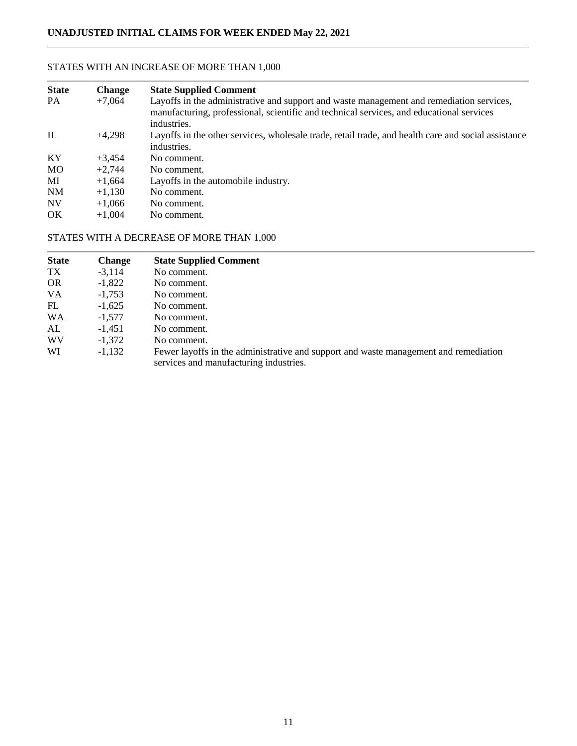### **State Change State Supplied Comment** PA +7,064 Layoffs in the administrative and support and waste management and remediation services, manufacturing, professional, scientific and technical services, and educational services industries. IL +4,298 Layoffs in the other services, wholesale trade, retail trade, and health care and social assistance industries. KY  $+3,454$  No comment.  $MO$  +2,744 No comment. MI  $+1,664$  Layoffs in the automobile industry. NM  $+1,130$  No comment.<br>NV  $+1,066$  No comment.  $+1,066$  No comment. OK  $+1,004$  No comment.

### STATES WITH AN INCREASE OF MORE THAN 1,000

### STATES WITH A DECREASE OF MORE THAN 1,000

| <b>State</b> | <b>Change</b> | <b>State Supplied Comment</b>                                                                                                  |
|--------------|---------------|--------------------------------------------------------------------------------------------------------------------------------|
| TX           | $-3,114$      | No comment.                                                                                                                    |
| <b>OR</b>    | $-1,822$      | No comment.                                                                                                                    |
| <b>VA</b>    | $-1.753$      | No comment.                                                                                                                    |
| FL           | $-1.625$      | No comment.                                                                                                                    |
| <b>WA</b>    | $-1,577$      | No comment.                                                                                                                    |
| AL           | $-1.451$      | No comment.                                                                                                                    |
| WV           | $-1.372$      | No comment.                                                                                                                    |
| WI           | $-1,132$      | Fewer layoffs in the administrative and support and waste management and remediation<br>services and manufacturing industries. |